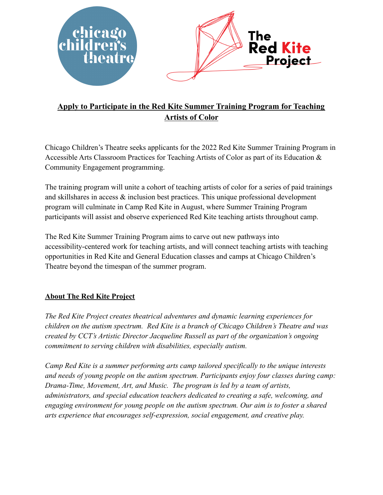

# **Apply to Participate in the Red Kite Summer Training Program for Teaching Artists of Color**

Chicago Children's Theatre seeks applicants for the 2022 Red Kite Summer Training Program in Accessible Arts Classroom Practices for Teaching Artists of Color as part of its Education & Community Engagement programming.

The training program will unite a cohort of teaching artists of color for a series of paid trainings and skillshares in access & inclusion best practices. This unique professional development program will culminate in Camp Red Kite in August, where Summer Training Program participants will assist and observe experienced Red Kite teaching artists throughout camp.

The Red Kite Summer Training Program aims to carve out new pathways into accessibility-centered work for teaching artists, and will connect teaching artists with teaching opportunities in Red Kite and General Education classes and camps at Chicago Children's Theatre beyond the timespan of the summer program.

### **About The Red Kite Project**

*The Red Kite Project creates theatrical adventures and dynamic learning experiences for children on the autism spectrum. Red Kite is a branch of Chicago Children's Theatre and was created by CCT's Artistic Director Jacqueline Russell as part of the organization's ongoing commitment to serving children with disabilities, especially autism.*

*Camp Red Kite is a summer performing arts camp tailored specifically to the unique interests and needs of young people on the autism spectrum. Participants enjoy four classes during camp: Drama-Time, Movement, Art, and Music. The program is led by a team of artists, administrators, and special education teachers dedicated to creating a safe, welcoming, and engaging environment for young people on the autism spectrum. Our aim is to foster a shared arts experience that encourages self-expression, social engagement, and creative play.*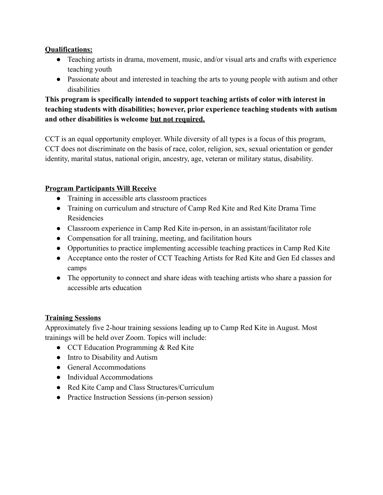#### **Qualifications:**

- Teaching artists in drama, movement, music, and/or visual arts and crafts with experience teaching youth
- Passionate about and interested in teaching the arts to young people with autism and other disabilities

**This program is specifically intended to support teaching artists of color with interest in teaching students with disabilities; however, prior experience teaching students with autism and other disabilities is welcome but not required.**

CCT is an equal opportunity employer. While diversity of all types is a focus of this program, CCT does not discriminate on the basis of race, color, religion, sex, sexual orientation or gender identity, marital status, national origin, ancestry, age, veteran or military status, disability.

### **Program Participants Will Receive**

- Training in accessible arts classroom practices
- Training on curriculum and structure of Camp Red Kite and Red Kite Drama Time Residencies
- Classroom experience in Camp Red Kite in-person, in an assistant/facilitator role
- Compensation for all training, meeting, and facilitation hours
- Opportunities to practice implementing accessible teaching practices in Camp Red Kite
- Acceptance onto the roster of CCT Teaching Artists for Red Kite and Gen Ed classes and camps
- The opportunity to connect and share ideas with teaching artists who share a passion for accessible arts education

### **Training Sessions**

Approximately five 2-hour training sessions leading up to Camp Red Kite in August. Most trainings will be held over Zoom. Topics will include:

- CCT Education Programming & Red Kite
- Intro to Disability and Autism
- General Accommodations
- Individual Accommodations
- Red Kite Camp and Class Structures/Curriculum
- Practice Instruction Sessions (in-person session)